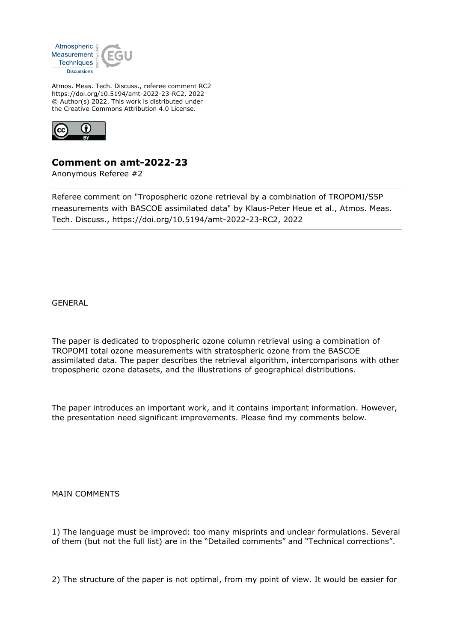

Atmos. Meas. Tech. Discuss., referee comment RC2 https://doi.org/10.5194/amt-2022-23-RC2, 2022 © Author(s) 2022. This work is distributed under the Creative Commons Attribution 4.0 License.



## **Comment on amt-2022-23**

Anonymous Referee #2

Referee comment on "Tropospheric ozone retrieval by a combination of TROPOMI/S5P measurements with BASCOE assimilated data" by Klaus-Peter Heue et al., Atmos. Meas. Tech. Discuss., https://doi.org/10.5194/amt-2022-23-RC2, 2022

GENERAL

The paper is dedicated to tropospheric ozone column retrieval using a combination of TROPOMI total ozone measurements with stratospheric ozone from the BASCOE assimilated data. The paper describes the retrieval algorithm, intercomparisons with other tropospheric ozone datasets, and the illustrations of geographical distributions.

The paper introduces an important work, and it contains important information. However, the presentation need significant improvements. Please find my comments below.

MAIN COMMENTS

1) The language must be improved: too many misprints and unclear formulations. Several of them (but not the full list) are in the "Detailed comments" and "Technical corrections".

2) The structure of the paper is not optimal, from my point of view. It would be easier for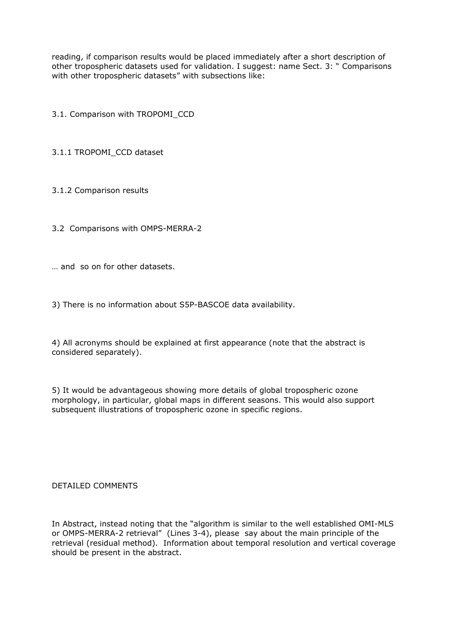reading, if comparison results would be placed immediately after a short description of other tropospheric datasets used for validation. I suggest: name Sect. 3: " Comparisons with other tropospheric datasets" with subsections like:

3.1. Comparison with TROPOMI\_CCD

3.1.1 TROPOMI\_CCD dataset

3.1.2 Comparison results

- 3.2 Comparisons with OMPS-MERRA-2
- … and so on for other datasets.

3) There is no information about S5P-BASCOE data availability.

4) All acronyms should be explained at first appearance (note that the abstract is considered separately).

5) It would be advantageous showing more details of global tropospheric ozone morphology, in particular, global maps in different seasons. This would also support subsequent illustrations of tropospheric ozone in specific regions.

## DETAILED COMMENTS

In Abstract, instead noting that the "algorithm is similar to the well established OMI-MLS or OMPS-MERRA-2 retrieval" (Lines 3-4), please say about the main principle of the retrieval (residual method). Information about temporal resolution and vertical coverage should be present in the abstract.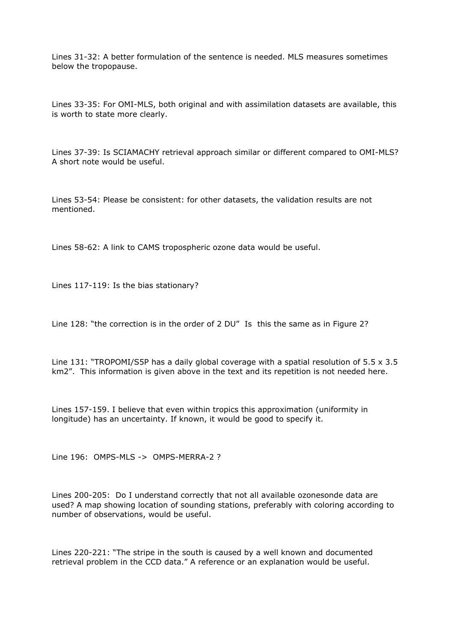Lines 31-32: A better formulation of the sentence is needed. MLS measures sometimes below the tropopause.

Lines 33-35: For OMI-MLS, both original and with assimilation datasets are available, this is worth to state more clearly.

Lines 37-39: Is SCIAMACHY retrieval approach similar or different compared to OMI-MLS? A short note would be useful.

Lines 53-54: Please be consistent: for other datasets, the validation results are not mentioned.

Lines 58-62: A link to CAMS tropospheric ozone data would be useful.

Lines 117-119: Is the bias stationary?

Line 128: "the correction is in the order of 2 DU" Is this the same as in Figure 2?

Line 131: "TROPOMI/S5P has a daily global coverage with a spatial resolution of 5.5 x 3.5 km2". This information is given above in the text and its repetition is not needed here.

Lines 157-159. I believe that even within tropics this approximation (uniformity in longitude) has an uncertainty. If known, it would be good to specify it.

Line 196: OMPS-MLS -> OMPS-MERRA-2 ?

Lines 200-205: Do I understand correctly that not all available ozonesonde data are used? A map showing location of sounding stations, preferably with coloring according to number of observations, would be useful.

Lines 220-221: "The stripe in the south is caused by a well known and documented retrieval problem in the CCD data." A reference or an explanation would be useful.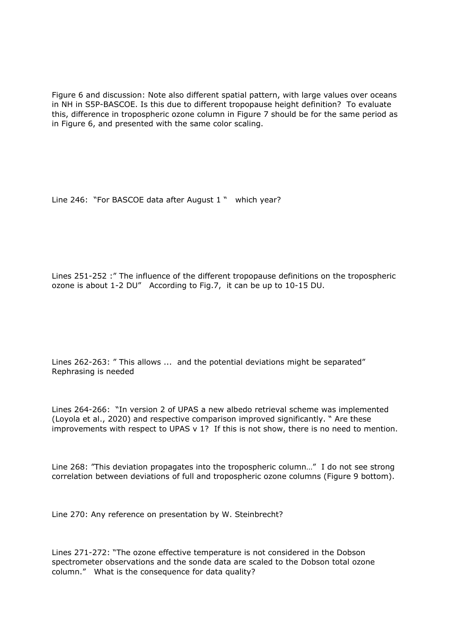Figure 6 and discussion: Note also different spatial pattern, with large values over oceans in NH in S5P-BASCOE. Is this due to different tropopause height definition? To evaluate this, difference in tropospheric ozone column in Figure 7 should be for the same period as in Figure 6, and presented with the same color scaling.

Line 246: "For BASCOE data after August 1 " which year?

Lines 251-252 :" The influence of the different tropopause definitions on the tropospheric ozone is about 1-2 DU" According to Fig.7, it can be up to 10-15 DU.

Lines 262-263: " This allows ... and the potential deviations might be separated" Rephrasing is needed

Lines 264-266: "In version 2 of UPAS a new albedo retrieval scheme was implemented (Loyola et al., 2020) and respective comparison improved significantly. " Are these improvements with respect to UPAS v 1? If this is not show, there is no need to mention.

Line 268: "This deviation propagates into the tropospheric column…" I do not see strong correlation between deviations of full and tropospheric ozone columns (Figure 9 bottom).

Line 270: Any reference on presentation by W. Steinbrecht?

Lines 271-272: "The ozone effective temperature is not considered in the Dobson spectrometer observations and the sonde data are scaled to the Dobson total ozone column." What is the consequence for data quality?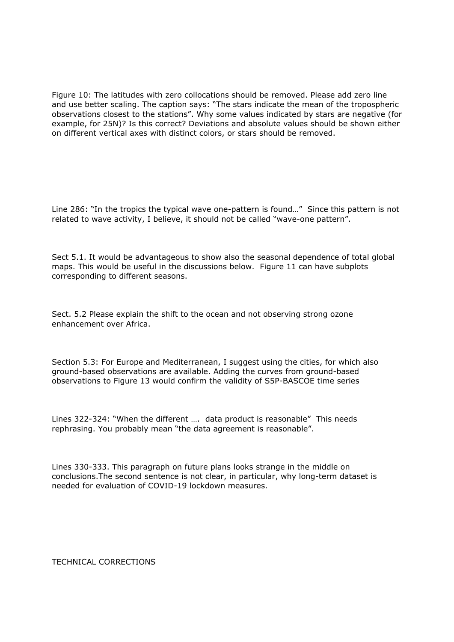Figure 10: The latitudes with zero collocations should be removed. Please add zero line and use better scaling. The caption says: "The stars indicate the mean of the tropospheric observations closest to the stations". Why some values indicated by stars are negative (for example, for 25N)? Is this correct? Deviations and absolute values should be shown either on different vertical axes with distinct colors, or stars should be removed.

Line 286: "In the tropics the typical wave one-pattern is found…" Since this pattern is not related to wave activity, I believe, it should not be called "wave-one pattern".

Sect 5.1. It would be advantageous to show also the seasonal dependence of total global maps. This would be useful in the discussions below. Figure 11 can have subplots corresponding to different seasons.

Sect. 5.2 Please explain the shift to the ocean and not observing strong ozone enhancement over Africa.

Section 5.3: For Europe and Mediterranean, I suggest using the cities, for which also ground-based observations are available. Adding the curves from ground-based observations to Figure 13 would confirm the validity of S5P-BASCOE time series

Lines 322-324: "When the different …. data product is reasonable" This needs rephrasing. You probably mean "the data agreement is reasonable".

Lines 330-333. This paragraph on future plans looks strange in the middle on conclusions.The second sentence is not clear, in particular, why long-term dataset is needed for evaluation of COVID-19 lockdown measures.

TECHNICAL CORRECTIONS